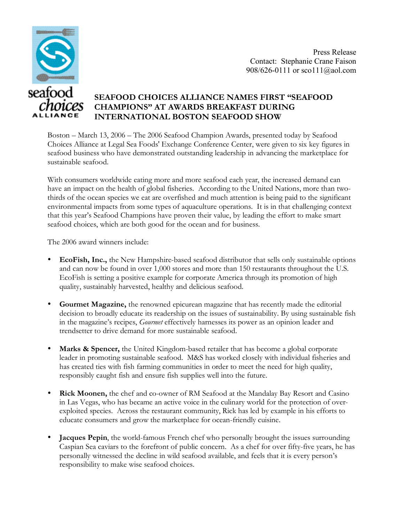

Press Release Contact: Stephanie Crane Faison 908/626-0111 or sco111@aol.com

## **SEAFOOD CHOICES ALLIANCE NAMES FIRST "SEAFOOD CHAMPIONS" AT AWARDS BREAKFAST DURING INTERNATIONAL BOSTON SEAFOOD SHOW**

Boston – March 13, 2006 – The 2006 Seafood Champion Awards, presented today by Seafood Choices Alliance at Legal Sea Foods' Exchange Conference Center, were given to six key figures in seafood business who have demonstrated outstanding leadership in advancing the marketplace for sustainable seafood.

With consumers worldwide eating more and more seafood each year, the increased demand can have an impact on the health of global fisheries. According to the United Nations, more than twothirds of the ocean species we eat are overfished and much attention is being paid to the significant environmental impacts from some types of aquaculture operations. It is in that challenging context that this year's Seafood Champions have proven their value, by leading the effort to make smart seafood choices, which are both good for the ocean and for business.

The 2006 award winners include:

- **EcoFish, Inc.,** the New Hampshire-based seafood distributor that sells only sustainable options and can now be found in over 1,000 stores and more than 150 restaurants throughout the U.S. EcoFish is setting a positive example for corporate America through its promotion of high quality, sustainably harvested, healthy and delicious seafood.
- **Gourmet Magazine,** the renowned epicurean magazine that has recently made the editorial decision to broadly educate its readership on the issues of sustainability. By using sustainable fish in the magazine's recipes, *Gourmet* effectively harnesses its power as an opinion leader and trendsetter to drive demand for more sustainable seafood.
- **Marks & Spencer,** the United Kingdom-based retailer that has become a global corporate leader in promoting sustainable seafood. M&S has worked closely with individual fisheries and has created ties with fish farming communities in order to meet the need for high quality, responsibly caught fish and ensure fish supplies well into the future.
- **Rick Moonen,** the chef and co-owner of RM Seafood at the Mandalay Bay Resort and Casino in Las Vegas, who has became an active voice in the culinary world for the protection of overexploited species. Across the restaurant community, Rick has led by example in his efforts to educate consumers and grow the marketplace for ocean-friendly cuisine.
- **Jacques Pepin**, the world-famous French chef who personally brought the issues surrounding Caspian Sea caviars to the forefront of public concern. As a chef for over fifty-five years, he has personally witnessed the decline in wild seafood available, and feels that it is every person's responsibility to make wise seafood choices.